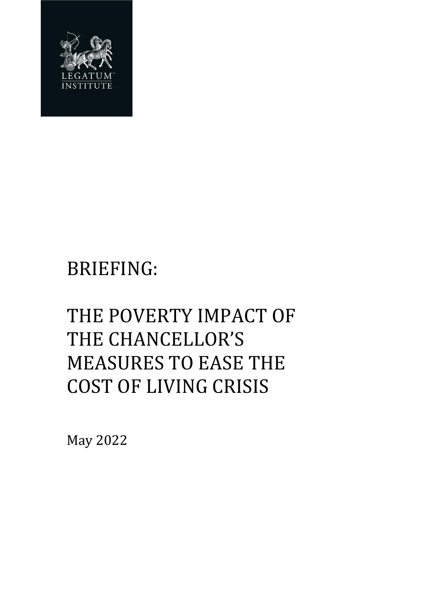

# BRIEFING:

# THE POVERTY IMPACT OF THE CHANCELLOR'S MEASURES TO EASE THE COST OF LIVING CRISIS

May 2022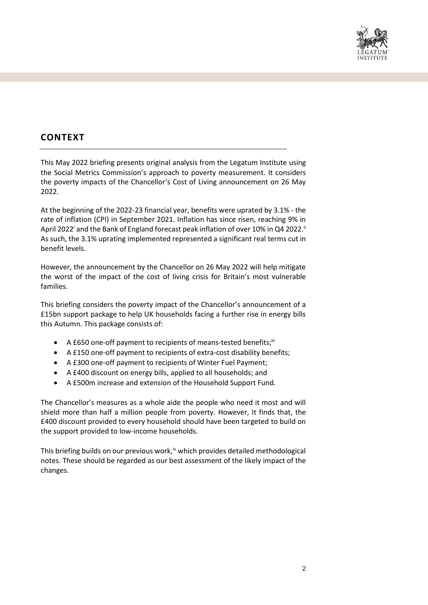

## **CONTEXT**

This May 2022 briefing presents original analysis from the Legatum Institute using the Social Metrics Commission's approach to poverty measurement. It considers the poverty impacts of the Chancellor's Cost of Living announcement on 26 May 2022.

At the beginning of the 2022-23 financial year, benefits were uprated by 3.1% - the rate of inflation (CPI) in September 2021. Inflation has since risen, reaching 9% in April 2022<sup>i</sup> and the Bank of England forecast peak inflation of over 10% in Q4 2022.<sup>ii</sup> As such, the 3.1% uprating implemented represented a significant real terms cut in benefit levels.

However, the announcement by the Chancellor on 26 May 2022 will help mitigate the worst of the impact of the cost of living crisis for Britain's most vulnerable families.

This briefing considers the poverty impact of the Chancellor's announcement of a £15bn support package to help UK households facing a further rise in energy bills this Autumn. This package consists of:

- A £650 one-off payment to recipients of means-tested benefits;<sup>iii</sup>
- A £150 one-off payment to recipients of extra-cost disability benefits;
- A £300 one-off payment to recipients of Winter Fuel Payment;
- A £400 discount on energy bills, applied to all households; and
- A £500m increase and extension of the Household Support Fund.

The Chancellor's measures as a whole aide the people who need it most and will shield more than half a million people from poverty. However, It finds that, the £400 discount provided to every household should have been targeted to build on the support provided to low-income households.

This briefing builds on our previous work,<sup>iv</sup> which provides detailed methodological notes. These should be regarded as our best assessment of the likely impact of the changes.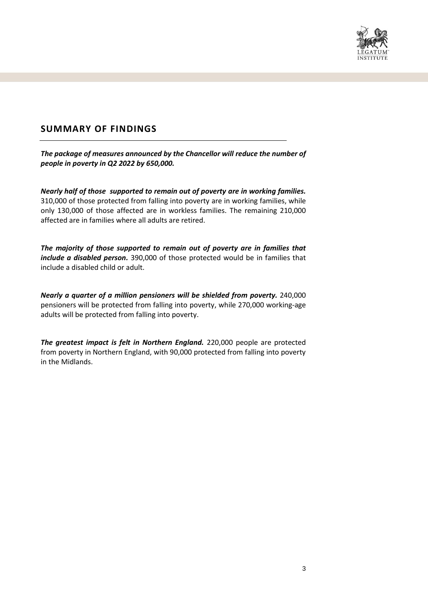

### **SUMMARY OF FINDINGS**

*The package of measures announced by the Chancellor will reduce the number of people in poverty in Q2 2022 by 650,000.*

*Nearly half of those supported to remain out of poverty are in working families.*  310,000 of those protected from falling into poverty are in working families, while only 130,000 of those affected are in workless families. The remaining 210,000 affected are in families where all adults are retired.

*The majority of those supported to remain out of poverty are in families that include a disabled person.* 390,000 of those protected would be in families that include a disabled child or adult.

*Nearly a quarter of a million pensioners will be shielded from poverty.* 240,000 pensioners will be protected from falling into poverty, while 270,000 working-age adults will be protected from falling into poverty.

*The greatest impact is felt in Northern England.* 220,000 people are protected from poverty in Northern England, with 90,000 protected from falling into poverty in the Midlands.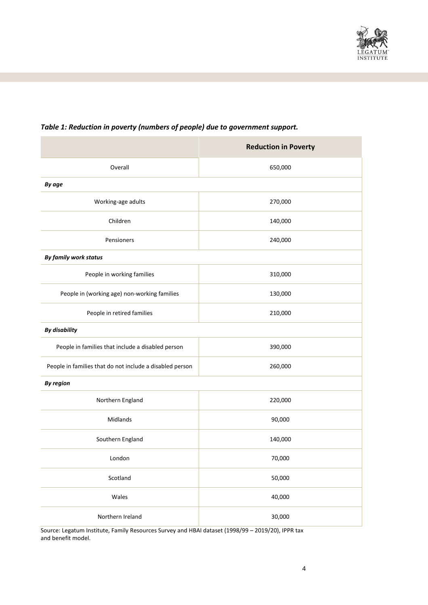

|                                                          | <b>Reduction in Poverty</b> |
|----------------------------------------------------------|-----------------------------|
| Overall                                                  | 650,000                     |
| By age                                                   |                             |
| Working-age adults                                       | 270,000                     |
| Children                                                 | 140,000                     |
| Pensioners                                               | 240,000                     |
| By family work status                                    |                             |
| People in working families                               | 310,000                     |
| People in (working age) non-working families             | 130,000                     |
| People in retired families                               | 210,000                     |
| <b>By disability</b>                                     |                             |
| People in families that include a disabled person        | 390,000                     |
| People in families that do not include a disabled person | 260,000                     |
| <b>By region</b>                                         |                             |
| Northern England                                         | 220,000                     |
| Midlands                                                 | 90,000                      |
| Southern England                                         | 140,000                     |
| London                                                   | 70,000                      |
| Scotland                                                 | 50,000                      |
| Wales                                                    | 40,000                      |
| Northern Ireland                                         | 30,000                      |

### *Table 1: Reduction in poverty (numbers of people) due to government support.*

Source: Legatum Institute, Family Resources Survey and HBAI dataset (1998/99 – 2019/20), IPPR tax and benefit model.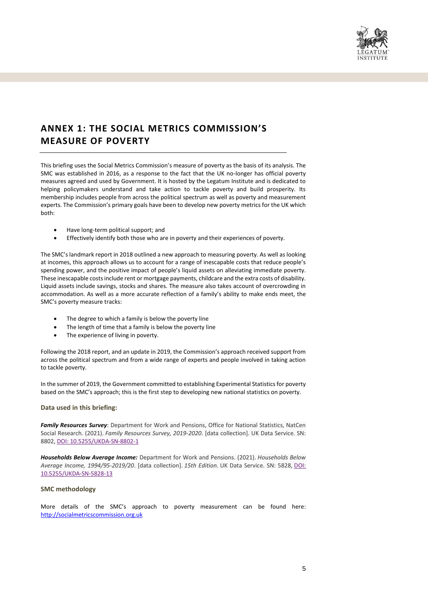

## **ANNEX 1: THE SOCIAL METRICS COMMISSION'S MEASURE OF POVERTY**

This briefing uses the Social Metrics Commission's measure of poverty as the basis of its analysis. The SMC was established in 2016, as a response to the fact that the UK no-longer has official poverty measures agreed and used by Government. It is hosted by the Legatum Institute and is dedicated to helping policymakers understand and take action to tackle poverty and build prosperity. Its membership includes people from across the political spectrum as well as poverty and measurement experts. The Commission's primary goals have been to develop new poverty metrics for the UK which both:

- Have long-term political support; and
- Effectively identify both those who are in poverty and their experiences of poverty.

The SMC's landmark report in 2018 outlined a new approach to measuring poverty. As well as looking at incomes, this approach allows us to account for a range of inescapable costs that reduce people's spending power, and the positive impact of people's liquid assets on alleviating immediate poverty. These inescapable costs include rent or mortgage payments, childcare and the extra costs of disability. Liquid assets include savings, stocks and shares. The measure also takes account of overcrowding in accommodation. As well as a more accurate reflection of a family's ability to make ends meet, the SMC's poverty measure tracks:

- The degree to which a family is below the poverty line
- The length of time that a family is below the poverty line
- The experience of living in poverty.

Following the 2018 report, and an update in 2019, the Commission's approach received support from across the political spectrum and from a wide range of experts and people involved in taking action to tackle poverty.

In the summer of 2019, the Government committed to establishing Experimental Statistics for poverty based on the SMC's approach; this is the first step to developing new national statistics on poverty.

#### **Data used in this briefing:**

*Family Resources Survey*: Department for Work and Pensions, Office for National Statistics, NatCen Social Research. (2021). *Family Resources Survey, 2019-2020*. [data collection]. UK Data Service. SN: 8802, [DOI: 10.5255/UKDA-SN-8802-1](http://doi.org/10.5255/UKDA-SN-8802-1)

*Households Below Average Income:* Department for Work and Pensions. (2021). *Households Below Average Income, 1994/95-2019/20*. [data collection]. *15th Edition.* UK Data Service. SN: 5828, [DOI:](http://doi.org/10.5255/UKDA-SN-5828-13)  [10.5255/UKDA-SN-5828-13](http://doi.org/10.5255/UKDA-SN-5828-13)

#### **SMC methodology**

More details of the SMC's approach to poverty measurement can be found here: [http://socialmetricscommission.org.uk](http://socialmetricscommission.org.uk/)